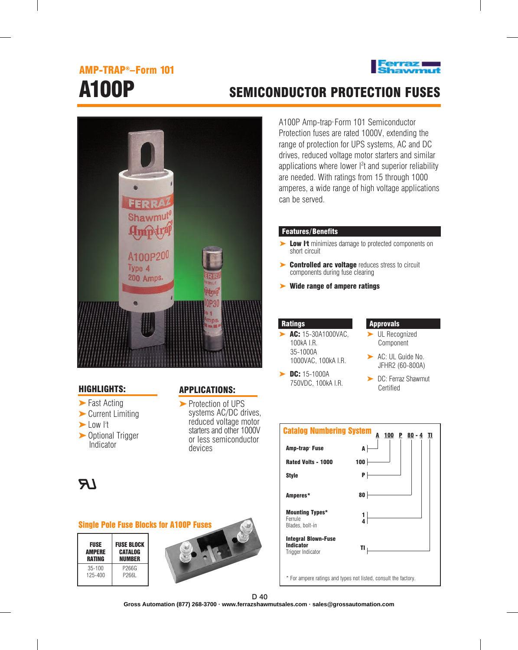# AMP-TRAP®–Form 101





## HIGHLIGHTS:

- ► Fast Acting
- ► Current Limiting
- Low l<sup>2</sup>t
- ► Optional Trigger Indicator

## APPLICATIONS:

► Protection of UPS systems AC/DC drives, reduced voltage motor starters and other 1000V or less semiconductor devices



#### Single Pole Fuse Blocks for A100P Fuses

| <b>FUSE</b> | <b>FUSE BLOCK</b> |  |  |  |  |
|-------------|-------------------|--|--|--|--|
| AMPERE      | <b>CATALOG</b>    |  |  |  |  |
| RATING      | NIJMRER           |  |  |  |  |
| $35 - 100$  | P266G             |  |  |  |  |
| $125 - 400$ | P266L             |  |  |  |  |



# A100P SEMICONDUCTOR PROTECTION FUSES

A100P Amp-trap® Form 101 Semiconductor Protection fuses are rated 1000V, extending the range of protection for UPS systems, AC and DC drives, reduced voltage motor starters and similar applications where lower  $l^2t$  and superior reliability are needed. With ratings from 15 through 1000 amperes, a wide range of high voltage applications can be served.

### Features/Benefits

- Low I<sup>t</sup> minimizes damage to protected components on short circuit ➤
- ► Controlled arc voltage reduces stress to circuit components during fuse clearing
- ► Wide range of ampere ratings

#### **Ratings**

- AC: 15-30A1000VAC, 100kA I.R. 35-1000A 1000VAC, 100kA I.R. ➤
- ► DC: 15-1000A 750VDC, 100kA I.R.

### Approvals

- ► UL Recognized Component
- ▶ AC: UL Guide No. JFHR2 (60-800A)
- ► DC: Ferraz Shawmut Certified



\* For ampere ratings and types not listed, consult the factory.

D 40

**Gross Automation (877) 268-3700 · www.ferrazshawmutsales.com · sales@grossautomation.com**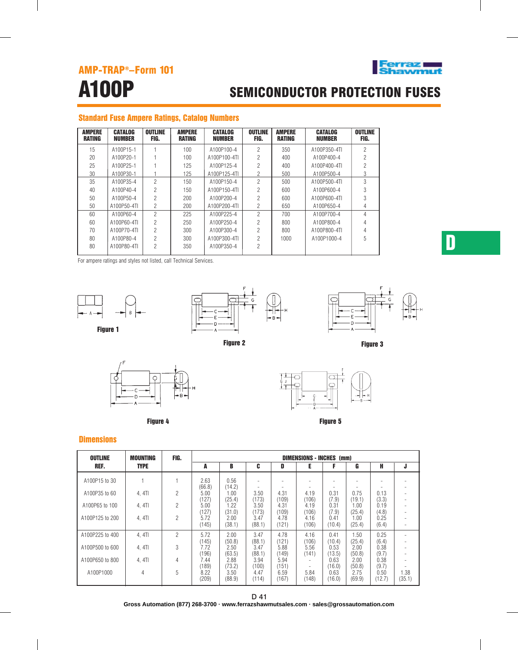

# A100P SEMICONDUCTOR PROTECTION FUSES

# Standard Fuse Ampere Ratings, Catalog Numbers

| <b>AMPERE</b><br>RATING | <b>CATALOG</b><br>NUMBER | <b>OUTLINE</b><br>FIG. | <b>AMPERE</b><br>RATING | <b>CATALOG</b><br>NUMBER | OUTLINE<br>FIG. | <b>AMPERE</b><br>RATING | <b>CATALOG</b><br>NUMBER | <b>OUTLINE</b><br>FIG. |
|-------------------------|--------------------------|------------------------|-------------------------|--------------------------|-----------------|-------------------------|--------------------------|------------------------|
| 15                      | A100P15-1                |                        | 100                     | A100P100-4               | 2               | 350                     | A100P350-4TL             | 2                      |
| 20                      | A100P20-1                |                        | 100                     | A100P100-4TL             | 2               | 400                     | A100P400-4               | 2                      |
| 25                      | A100P25-1                |                        | 125                     | A100P125-4               | 2               | 400                     | A100P400-4TL             |                        |
| 30                      | A100P30-1                |                        | 125                     | A100P125-4TI             | 2               | 500                     | A100P500-4               | 3                      |
| 35                      | A100P35-4                | $\mathfrak{p}$         | 150                     | A100P150-4               | 2               | 500                     | A100P500-4TI             | 3                      |
| 40                      | A100P40-4                | 2                      | 150                     | A100P150-4TL             | 2               | 600                     | A100P600-4               | 3                      |
| 50                      | A100P50-4                | $\mathfrak{p}$         | 200                     | A100P200-4               | 2               | 600                     | A100P600-4TI             | 3                      |
| 50                      | A100P50-4TL              | 2                      | 200                     | A100P200-4TL             | $\mathfrak{p}$  | 650                     | A100P650-4               | 4                      |
| 60                      | A100P60-4                | $\mathfrak{p}$         | 225                     | A100P225-4               | 2               | 700                     | A100P700-4               | 4                      |
| 60                      | A100P60-4TL              | 2                      | 250                     | A100P250-4               | 2               | 800                     | A100P800-4               |                        |
| 70                      | A100P70-4TI              | 2                      | 300                     | A100P300-4               | 2               | 800                     | A100P800-4TL             |                        |
| 80                      | A100P80-4                | $\overline{2}$         | 300                     | A100P300-4TL             | 2               | 1000                    | A100P1000-4              | 5                      |
| 80                      | A100P80-4TI              | 2                      | 350                     | A100P350-4               | 2               |                         |                          |                        |

For ampere ratings and styles not listed, call Technical Services.



Figure 1



Figure 2



Figure 3



Figure 4



Figure 5

## **Dimensions**

| <b>OUTLINE</b>  | <b>MOUNTING</b> | FIG. | <b>DIMENSIONS - INCHES (mm)</b> |                |                |               |               |                |                |                |                |
|-----------------|-----------------|------|---------------------------------|----------------|----------------|---------------|---------------|----------------|----------------|----------------|----------------|
| REF.            | <b>TYPE</b>     |      | A                               | B              | C              | D             | Е             |                | G              | н              | J              |
| A100P15 to 30   |                 |      | 2.63<br>(66.8)                  | 0.56<br>(14.2) |                |               |               |                |                |                |                |
| A100P35 to 60   | 4, 4TI          | 2    | 5.00<br>(127)                   | 1.00<br>(25.4) | 3.50<br>(173)  | 4.31<br>(109) | 4.19<br>(106) | 0.31<br>(7.9)  | 0.75<br>(19.1) | 0.13<br>(3.3)  |                |
| A100P65 to 100  | 4, 4TI          | 2    | 5.00<br>(127)                   | 1.22<br>(31.0) | 3.50<br>(173)  | 4.31<br>(109) | 4.19<br>(106) | 0.31<br>(7.9)  | 0.00<br>(25.4) | 0.19<br>(4.8)  |                |
| A100P125 to 200 | 4.4TI           | 2    | 5.72<br>(145)                   | 2.00<br>(38.1) | 3.47<br>(88.1) | 4.78<br>(121) | 4.16<br>(106) | 0.41<br>(10.4) | 1.00<br>(25.4) | 0.25<br>(6.4)  |                |
| A100P225 to 400 | 4, 4TI          | 2    | 5.72<br>(145)                   | 2.00<br>(50.8) | 3.47<br>(88.1) | 4.78<br>(121) | 4.16<br>(106) | 0.41<br>(10.4) | 1.50<br>(25.4) | 0.25<br>(6.4)  |                |
| A100P500 to 600 | 4.4TI           | 3    | 7.72<br>(196)                   | 2.50<br>(63.5) | 3.47<br>(88.1) | 5.88<br>(149) | 5.56<br>(141) | 0.53<br>(13.5) | 2.00<br>(50.8) | 0.38<br>(9.7)  |                |
| A100P650 to 800 | 4, 4TI          | 4    | 7.44<br>(189)                   | 2.88<br>(73.2) | 3.94<br>(100)  | 5.94<br>(151) |               | 0.63<br>(16.0) | 2.00<br>(50.8) | 0.38<br>(9.7)  |                |
| A100P1000       | 4               | 5    | 8.22<br>(209)                   | 3.50<br>(88.9) | 4.47<br>(114)  | 6.59<br>(167) | 5.84<br>(148) | 0.63<br>(16.0) | 2.75<br>(69.9) | 0.50<br>(12.7) | 1.38<br>(35.1) |

D 41

**Gross Automation (877) 268-3700 · www.ferrazshawmutsales.com · sales@grossautomation.com**

D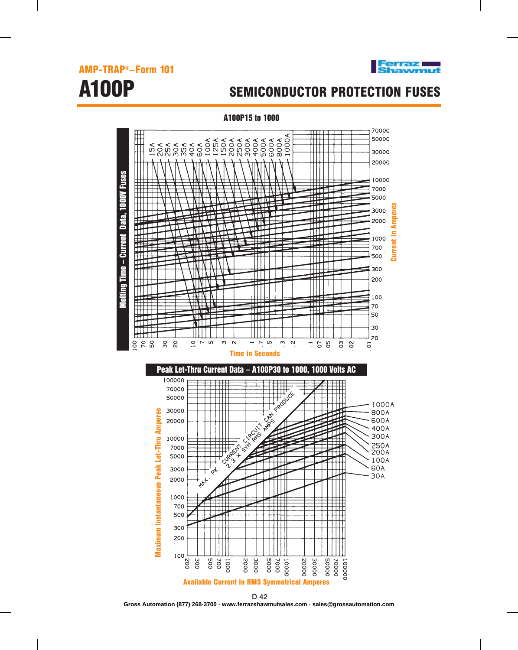

Melting Time – Current Data, 1000V Fuses

Time - Current

Vieiting

**Fuses** 

**1000V** 

Data,



# A100P SEMICONDUCTOR PROTECTION FUSES

A100P15 to 1000 70000 ₩ 1000A ₩ 50000 ₩ 30000 20000 <u>╵┇╹╻╻╻</u><br>╪╪┋╧╪┽<br>╪╪┋╧╄┽ 10000 7000 ┿╇╈╈ 5000 NINE VAN<br>Militäre<br>Anversitäre ijje Current in Amperes 3000 ₶₶ iju. HH 2000 iiii THE R onvolv **NIM**m Current in ||||||<br>||||||||<br>|||||||| 1000 mes HNH 700 蹦 n an De 500 MM iill 300 iTI 1 200 111 TT **HAN** 100 . . . . . 5<br>. . . . 999<br>. . . . . . . . 70 ▦ ŦΞ **TIND!** 50 脚步 **Tiji**  $\blacksquare$ iTI. Π 30 iiii <u>HHTT</u> 20  $888$  $\overline{o}$   $\sim$  10  $\infty$  $\infty$  $\sim$   $\omega$  $m<sub>o</sub>$ **6 g** ್ಲಿ ಜ  $\mathcal{C}^{\bullet}$ T. so ៊ Time in Seconds Peak Let-Thru Current Data – A100P30 to 1000, 1000 Volts AC 100000 isti<br>Hill<br>Hill  $\frac{1}{2}$ A PRODUCT 70000 50000 1000A 30000 Maximum Instantaneous Peak Let-Thru Amperes 800A Maximum Instantaneous Peak Let-Thru Amperes **AMPS CARL READER** 600A 20000 400A 300A 10000 250A<br>200A 7000 H 5000 细 100A  $\frac{1}{6}$ **60A** 3000 **ANT** 30A łП 2000 1000 izari<br>Juli 拼 700 ┯ πT ĦŦ 500 ĦĦ ĦΠ TII Ш Ш 300  $\mathbf{H}$ 200 100  $100<sub>g</sub>$  $\overline{\frac{1}{200}}$ poos 00005 700  $0001$ 0002 OOOE 7000 10000 **30000** 70000 200 20000 100000 Available Current in RMS Symmetrical Amperes

D 42 **Gross Automation (877) 268-3700 · www.ferrazshawmutsales.com · sales@grossautomation.com**